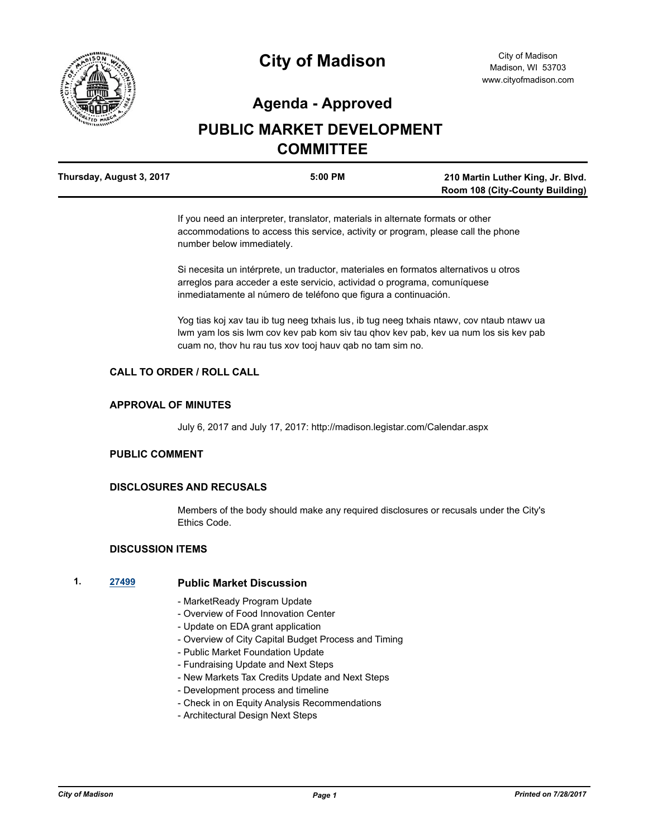

# **City of Madison**

# **Agenda - Approved**

# **PUBLIC MARKET DEVELOPMENT COMMITTEE**

| Thursday, August 3, 2017 | 5:00 PM | 210 Martin Luther King, Jr. Blvd.      |
|--------------------------|---------|----------------------------------------|
|                          |         | <b>Room 108 (City-County Building)</b> |

If you need an interpreter, translator, materials in alternate formats or other accommodations to access this service, activity or program, please call the phone number below immediately.

Si necesita un intérprete, un traductor, materiales en formatos alternativos u otros arreglos para acceder a este servicio, actividad o programa, comuníquese inmediatamente al número de teléfono que figura a continuación.

Yog tias koj xav tau ib tug neeg txhais lus, ib tug neeg txhais ntawv, cov ntaub ntawv ua lwm yam los sis lwm cov kev pab kom siv tau qhov kev pab, kev ua num los sis kev pab cuam no, thov hu rau tus xov tooj hauv qab no tam sim no.

### **CALL TO ORDER / ROLL CALL**

#### **APPROVAL OF MINUTES**

July 6, 2017 and July 17, 2017: http://madison.legistar.com/Calendar.aspx

#### **PUBLIC COMMENT**

#### **DISCLOSURES AND RECUSALS**

Members of the body should make any required disclosures or recusals under the City's Ethics Code.

### **DISCUSSION ITEMS**

#### **1. [27499](http://madison.legistar.com/gateway.aspx?m=l&id=/matter.aspx?key=30187) Public Market Discussion**

- MarketReady Program Update
- Overview of Food Innovation Center
- Update on EDA grant application
- Overview of City Capital Budget Process and Timing
- Public Market Foundation Update
- Fundraising Update and Next Steps
- New Markets Tax Credits Update and Next Steps
- Development process and timeline
- Check in on Equity Analysis Recommendations
- Architectural Design Next Steps